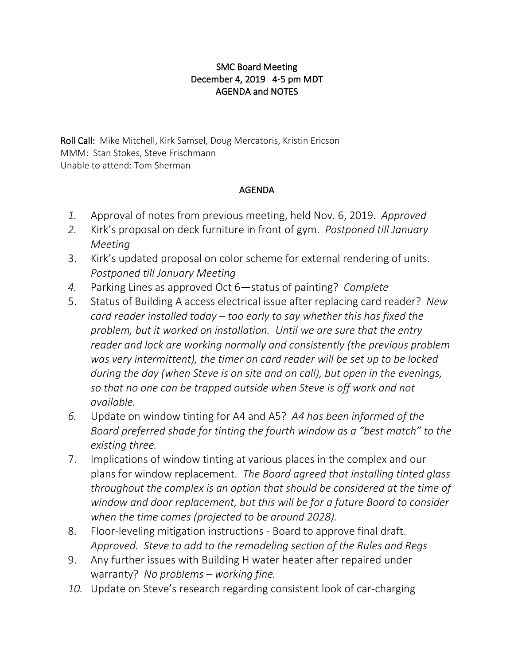## SMC Board Meeting December 4, 2019 4-5 pm MDT AGENDA and NOTES

Roll Call: Mike Mitchell, Kirk Samsel, Doug Mercatoris, Kristin Ericson MMM: Stan Stokes, Steve Frischmann Unable to attend: Tom Sherman

## AGENDA

- *1.* Approval of notes from previous meeting, held Nov. 6, 2019. *Approved*
- *2.* Kirk's proposal on deck furniture in front of gym. *Postponed till January Meeting*
- 3. Kirk's updated proposal on color scheme for external rendering of units. *Postponed till January Meeting*
- *4.* Parking Lines as approved Oct 6—status of painting? *Complete*
- 5. Status of Building A access electrical issue after replacing card reader? *New card reader installed today – too early to say whether this has fixed the problem, but it worked on installation. Until we are sure that the entry reader and lock are working normally and consistently (the previous problem was very intermittent), the timer on card reader will be set up to be locked during the day (when Steve is on site and on call), but open in the evenings, so that no one can be trapped outside when Steve is off work and not available.*
- *6.* Update on window tinting for A4 and A5? *A4 has been informed of the Board preferred shade for tinting the fourth window as a "best match" to the existing three.*
- 7. Implications of window tinting at various places in the complex and our plans for window replacement. *The Board agreed that installing tinted glass throughout the complex is an option that should be considered at the time of window and door replacement, but this will be for a future Board to consider when the time comes (projected to be around 2028).*
- 8. Floor-leveling mitigation instructions Board to approve final draft. *Approved. Steve to add to the remodeling section of the Rules and Regs*
- 9. Any further issues with Building H water heater after repaired under warranty? *No problems – working fine.*
- *10.* Update on Steve's research regarding consistent look of car-charging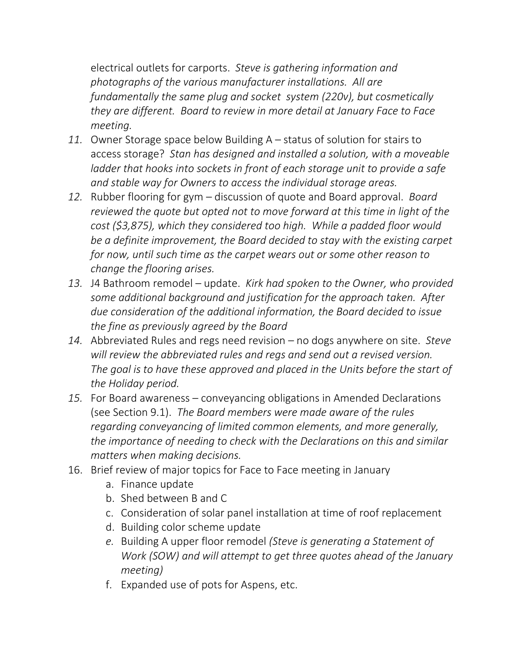electrical outlets for carports. *Steve is gathering information and photographs of the various manufacturer installations. All are fundamentally the same plug and socket system (220v), but cosmetically they are different. Board to review in more detail at January Face to Face meeting.*

- *11.* Owner Storage space below Building A status of solution for stairs to access storage? *Stan has designed and installed a solution, with a moveable ladder that hooks into sockets in front of each storage unit to provide a safe and stable way for Owners to access the individual storage areas.*
- *12.* Rubber flooring for gym discussion of quote and Board approval. *Board reviewed the quote but opted not to move forward at this time in light of the cost (\$3,875), which they considered too high. While a padded floor would be a definite improvement, the Board decided to stay with the existing carpet for now, until such time as the carpet wears out or some other reason to change the flooring arises.*
- *13.* J4 Bathroom remodel update. *Kirk had spoken to the Owner, who provided some additional background and justification for the approach taken. After due consideration of the additional information, the Board decided to issue the fine as previously agreed by the Board*
- *14.* Abbreviated Rules and regs need revision no dogs anywhere on site. *Steve will review the abbreviated rules and regs and send out a revised version. The goal is to have these approved and placed in the Units before the start of the Holiday period.*
- *15.* For Board awareness conveyancing obligations in Amended Declarations (see Section 9.1). *The Board members were made aware of the rules regarding conveyancing of limited common elements, and more generally, the importance of needing to check with the Declarations on this and similar matters when making decisions.*
- 16. Brief review of major topics for Face to Face meeting in January
	- a. Finance update
	- b. Shed between B and C
	- c. Consideration of solar panel installation at time of roof replacement
	- d. Building color scheme update
	- *e.* Building A upper floor remodel *(Steve is generating a Statement of Work (SOW) and will attempt to get three quotes ahead of the January meeting)*
	- f. Expanded use of pots for Aspens, etc.